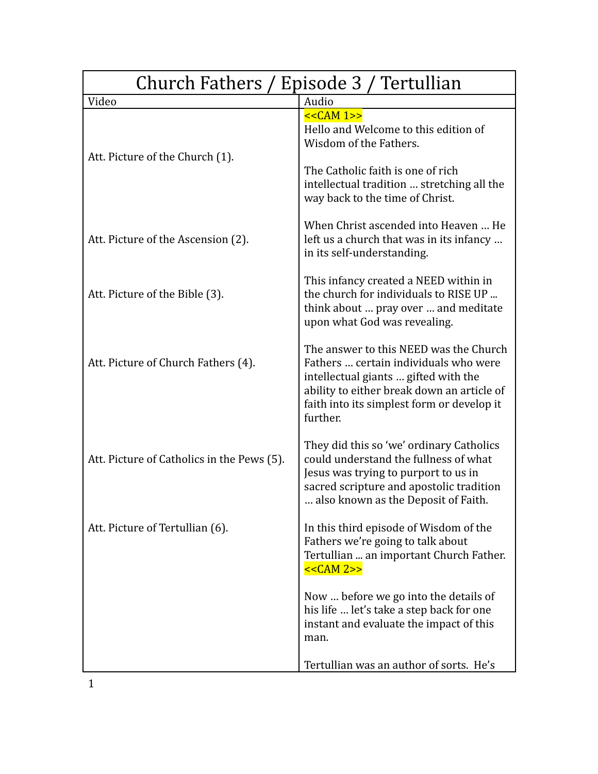| Church Fathers / Episode 3 / Tertullian    |                                                                                                                                                                                                                                 |
|--------------------------------------------|---------------------------------------------------------------------------------------------------------------------------------------------------------------------------------------------------------------------------------|
| Video                                      | Audio                                                                                                                                                                                                                           |
| Att. Picture of the Church (1).            | $<<CAM 1>>$<br>Hello and Welcome to this edition of<br>Wisdom of the Fathers.<br>The Catholic faith is one of rich<br>intellectual tradition  stretching all the<br>way back to the time of Christ.                             |
| Att. Picture of the Ascension (2).         | When Christ ascended into Heaven  He<br>left us a church that was in its infancy<br>in its self-understanding.                                                                                                                  |
| Att. Picture of the Bible (3).             | This infancy created a NEED within in<br>the church for individuals to RISE UP<br>think about  pray over  and meditate<br>upon what God was revealing.                                                                          |
| Att. Picture of Church Fathers (4).        | The answer to this NEED was the Church<br>Fathers  certain individuals who were<br>intellectual giants  gifted with the<br>ability to either break down an article of<br>faith into its simplest form or develop it<br>further. |
| Att. Picture of Catholics in the Pews (5). | They did this so 'we' ordinary Catholics<br>could understand the fullness of what<br>Jesus was trying to purport to us in<br>sacred scripture and apostolic tradition<br>also known as the Deposit of Faith.                    |
| Att. Picture of Tertullian (6).            | In this third episode of Wisdom of the<br>Fathers we're going to talk about<br>Tertullian  an important Church Father.<br>$<<CAM 2>>$                                                                                           |
|                                            | Now  before we go into the details of<br>his life  let's take a step back for one<br>instant and evaluate the impact of this<br>man.                                                                                            |
|                                            | Tertullian was an author of sorts. He's                                                                                                                                                                                         |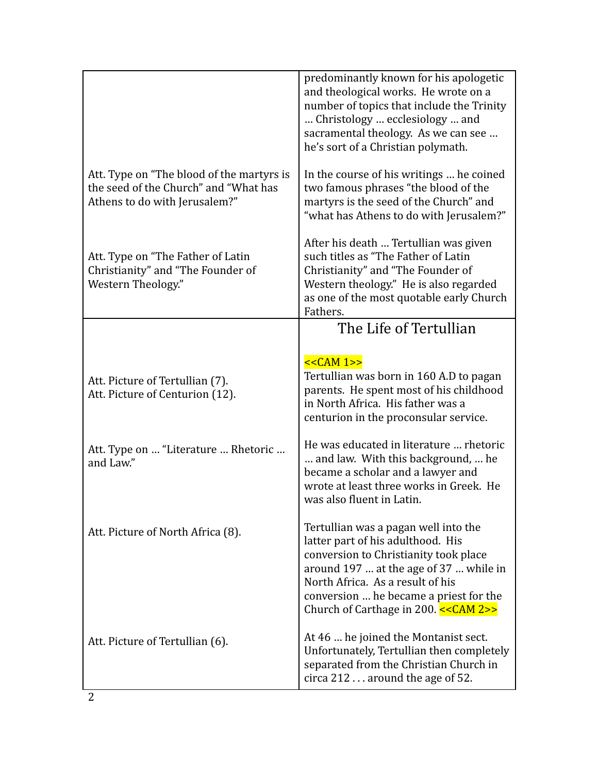|                                                                                                                     | predominantly known for his apologetic<br>and theological works. He wrote on a<br>number of topics that include the Trinity<br>Christology  ecclesiology  and<br>sacramental theology. As we can see<br>he's sort of a Christian polymath.                                            |
|---------------------------------------------------------------------------------------------------------------------|---------------------------------------------------------------------------------------------------------------------------------------------------------------------------------------------------------------------------------------------------------------------------------------|
| Att. Type on "The blood of the martyrs is<br>the seed of the Church" and "What has<br>Athens to do with Jerusalem?" | In the course of his writings  he coined<br>two famous phrases "the blood of the<br>martyrs is the seed of the Church" and<br>"what has Athens to do with Jerusalem?"                                                                                                                 |
| Att. Type on "The Father of Latin<br>Christianity" and "The Founder of<br>Western Theology."                        | After his death  Tertullian was given<br>such titles as "The Father of Latin<br>Christianity" and "The Founder of<br>Western theology." He is also regarded<br>as one of the most quotable early Church<br>Fathers.                                                                   |
|                                                                                                                     | The Life of Tertullian                                                                                                                                                                                                                                                                |
| Att. Picture of Tertullian (7).<br>Att. Picture of Centurion (12).                                                  | $<<CAM 1>>$<br>Tertullian was born in 160 A.D to pagan<br>parents. He spent most of his childhood<br>in North Africa. His father was a<br>centurion in the proconsular service.                                                                                                       |
| Att. Type on  "Literature  Rhetoric<br>and Law."                                                                    | He was educated in literature  rhetoric<br>and law. With this background,  he<br>became a scholar and a lawyer and<br>wrote at least three works in Greek. He<br>was also fluent in Latin.                                                                                            |
| Att. Picture of North Africa (8).                                                                                   | Tertullian was a pagan well into the<br>latter part of his adulthood. His<br>conversion to Christianity took place<br>around 197  at the age of 37  while in<br>North Africa. As a result of his<br>conversion  he became a priest for the<br>Church of Carthage in 200. $<<$ CAM 2>> |
| Att. Picture of Tertullian (6).                                                                                     | At 46  he joined the Montanist sect.<br>Unfortunately, Tertullian then completely<br>separated from the Christian Church in<br>circa 212 around the age of 52.                                                                                                                        |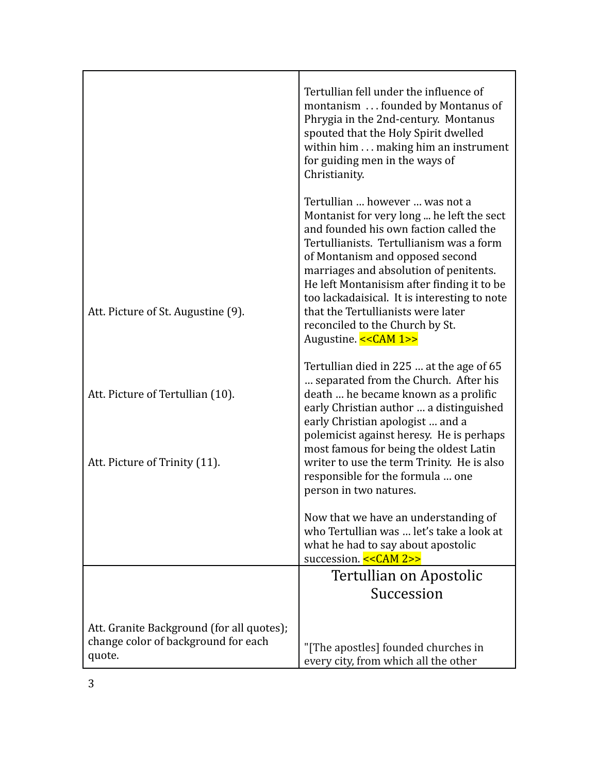|                                                                                            | Tertullian fell under the influence of<br>montanism  founded by Montanus of<br>Phrygia in the 2nd-century. Montanus<br>spouted that the Holy Spirit dwelled<br>within him making him an instrument<br>for guiding men in the ways of<br>Christianity.                                                                                                                                                                                          |
|--------------------------------------------------------------------------------------------|------------------------------------------------------------------------------------------------------------------------------------------------------------------------------------------------------------------------------------------------------------------------------------------------------------------------------------------------------------------------------------------------------------------------------------------------|
| Att. Picture of St. Augustine (9).                                                         | Tertullian  however  was not a<br>Montanist for very long  he left the sect<br>and founded his own faction called the<br>Tertullianists. Tertullianism was a form<br>of Montanism and opposed second<br>marriages and absolution of penitents.<br>He left Montanisism after finding it to be<br>too lackadaisical. It is interesting to note<br>that the Tertullianists were later<br>reconciled to the Church by St.<br>Augustine. << CAM 1>> |
| Att. Picture of Tertullian (10).<br>Att. Picture of Trinity (11).                          | Tertullian died in 225  at the age of 65<br>separated from the Church. After his<br>death  he became known as a prolific<br>early Christian author  a distinguished<br>early Christian apologist  and a<br>polemicist against heresy. He is perhaps<br>most famous for being the oldest Latin<br>writer to use the term Trinity. He is also<br>responsible for the formula  one<br>person in two natures.                                      |
|                                                                                            | Now that we have an understanding of<br>who Tertullian was  let's take a look at<br>what he had to say about apostolic<br>succession. << CAM 2>>                                                                                                                                                                                                                                                                                               |
|                                                                                            | Tertullian on Apostolic<br>Succession                                                                                                                                                                                                                                                                                                                                                                                                          |
| Att. Granite Background (for all quotes);<br>change color of background for each<br>quote. | "[The apostles] founded churches in<br>every city, from which all the other                                                                                                                                                                                                                                                                                                                                                                    |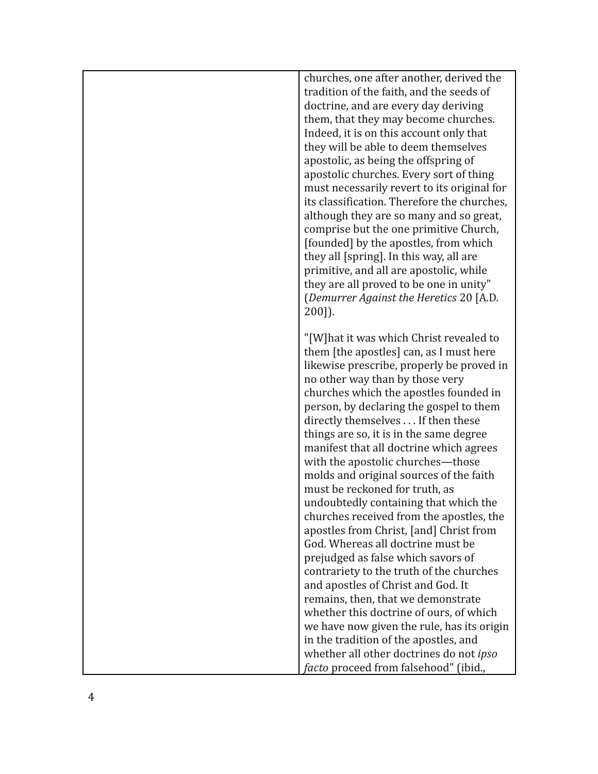| churches, one after another, derived the<br>tradition of the faith, and the seeds of<br>doctrine, and are every day deriving<br>them, that they may become churches.<br>Indeed, it is on this account only that<br>they will be able to deem themselves<br>apostolic, as being the offspring of<br>apostolic churches. Every sort of thing<br>must necessarily revert to its original for<br>its classification. Therefore the churches,<br>although they are so many and so great,<br>comprise but the one primitive Church,<br>[founded] by the apostles, from which<br>they all [spring]. In this way, all are<br>primitive, and all are apostolic, while<br>they are all proved to be one in unity"<br>(Demurrer Against the Heretics 20 [A.D.<br>200]).                                                                                                                                                                                                                                                                                                          |
|-----------------------------------------------------------------------------------------------------------------------------------------------------------------------------------------------------------------------------------------------------------------------------------------------------------------------------------------------------------------------------------------------------------------------------------------------------------------------------------------------------------------------------------------------------------------------------------------------------------------------------------------------------------------------------------------------------------------------------------------------------------------------------------------------------------------------------------------------------------------------------------------------------------------------------------------------------------------------------------------------------------------------------------------------------------------------|
| "[W] hat it was which Christ revealed to<br>them [the apostles] can, as I must here<br>likewise prescribe, properly be proved in<br>no other way than by those very<br>churches which the apostles founded in<br>person, by declaring the gospel to them<br>directly themselves If then these<br>things are so, it is in the same degree<br>manifest that all doctrine which agrees<br>with the apostolic churches-those<br>molds and original sources of the faith<br>must be reckoned for truth, as<br>undoubtedly containing that which the<br>churches received from the apostles, the<br>apostles from Christ, [and] Christ from<br>God. Whereas all doctrine must be<br>prejudged as false which savors of<br>contrariety to the truth of the churches<br>and apostles of Christ and God. It<br>remains, then, that we demonstrate<br>whether this doctrine of ours, of which<br>we have now given the rule, has its origin<br>in the tradition of the apostles, and<br>whether all other doctrines do not ipso<br><i>facto</i> proceed from falsehood" (ibid., |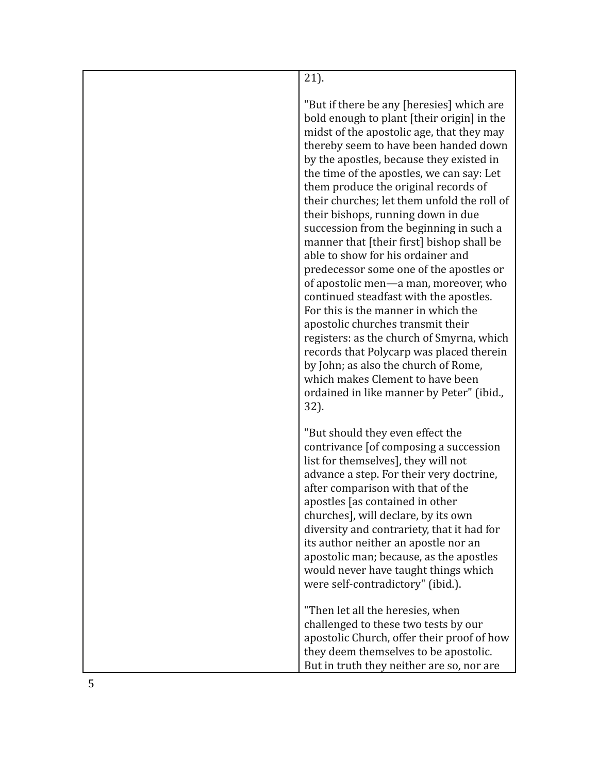| 21).                                                                                                                                                                                                                                                                                                                                                                                                                                                                                                                                                                                                                                                                                                                                                                                                                                                                                                                                                                 |
|----------------------------------------------------------------------------------------------------------------------------------------------------------------------------------------------------------------------------------------------------------------------------------------------------------------------------------------------------------------------------------------------------------------------------------------------------------------------------------------------------------------------------------------------------------------------------------------------------------------------------------------------------------------------------------------------------------------------------------------------------------------------------------------------------------------------------------------------------------------------------------------------------------------------------------------------------------------------|
| "But if there be any [heresies] which are<br>bold enough to plant [their origin] in the<br>midst of the apostolic age, that they may<br>thereby seem to have been handed down<br>by the apostles, because they existed in<br>the time of the apostles, we can say: Let<br>them produce the original records of<br>their churches; let them unfold the roll of<br>their bishops, running down in due<br>succession from the beginning in such a<br>manner that [their first] bishop shall be<br>able to show for his ordainer and<br>predecessor some one of the apostles or<br>of apostolic men-a man, moreover, who<br>continued steadfast with the apostles.<br>For this is the manner in which the<br>apostolic churches transmit their<br>registers: as the church of Smyrna, which<br>records that Polycarp was placed therein<br>by John; as also the church of Rome,<br>which makes Clement to have been<br>ordained in like manner by Peter" (ibid.,<br>32). |
| "But should they even effect the<br>contrivance [of composing a succession<br>list for themselves], they will not<br>advance a step. For their very doctrine,<br>after comparison with that of the<br>apostles [as contained in other<br>churches], will declare, by its own<br>diversity and contrariety, that it had for<br>its author neither an apostle nor an<br>apostolic man; because, as the apostles<br>would never have taught things which<br>were self-contradictory" (ibid.).                                                                                                                                                                                                                                                                                                                                                                                                                                                                           |
| "Then let all the heresies, when<br>challenged to these two tests by our<br>apostolic Church, offer their proof of how<br>they deem themselves to be apostolic.<br>But in truth they neither are so, nor are                                                                                                                                                                                                                                                                                                                                                                                                                                                                                                                                                                                                                                                                                                                                                         |